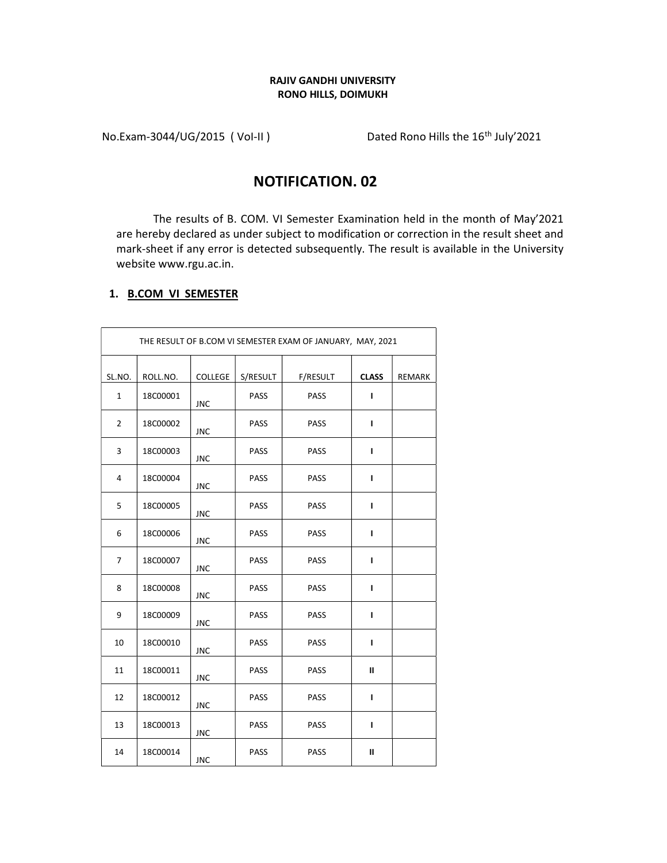## RAJIV GANDHI UNIVERSITY RONO HILLS, DOIMUKH

No.Exam-3044/UG/2015 (Vol-II) Dated Rono Hills the 16<sup>th</sup> July'2021

## NOTIFICATION. 02

The results of B. COM. VI Semester Examination held in the month of May'2021 are hereby declared as under subject to modification or correction in the result sheet and mark-sheet if any error is detected subsequently. The result is available in the University website www.rgu.ac.in.

## 1. B.COM VI SEMESTER

| THE RESULT OF B.COM VI SEMESTER EXAM OF JANUARY, MAY, 2021 |                 |                |             |             |              |               |  |  |
|------------------------------------------------------------|-----------------|----------------|-------------|-------------|--------------|---------------|--|--|
| SL.NO.                                                     | ROLL.NO.        | <b>COLLEGE</b> | S/RESULT    | F/RESULT    | <b>CLASS</b> | <b>REMARK</b> |  |  |
| $\mathbf{1}$                                               | 18C00001        | <b>JNC</b>     | PASS        | <b>PASS</b> | $\mathbf{I}$ |               |  |  |
| $\overline{2}$                                             | 18C00002        | <b>JNC</b>     | PASS        | <b>PASS</b> | ı            |               |  |  |
| 3                                                          | 18C00003        | <b>JNC</b>     | <b>PASS</b> | <b>PASS</b> | L            |               |  |  |
| 4                                                          | 18C00004        | <b>JNC</b>     | <b>PASS</b> | PASS        | п            |               |  |  |
| 5                                                          | 18C00005        | <b>JNC</b>     | <b>PASS</b> | <b>PASS</b> | L            |               |  |  |
| 6                                                          | <b>18C00006</b> | <b>JNC</b>     | <b>PASS</b> | PASS        | $\mathbf{I}$ |               |  |  |
| 7                                                          | 18C00007        | <b>JNC</b>     | <b>PASS</b> | PASS        | L            |               |  |  |
| 8                                                          | <b>18C00008</b> | <b>JNC</b>     | PASS        | <b>PASS</b> | $\mathbf{I}$ |               |  |  |
| 9                                                          | 18C00009        | <b>JNC</b>     | <b>PASS</b> | <b>PASS</b> | L            |               |  |  |
| 10                                                         | 18C00010        | <b>JNC</b>     | <b>PASS</b> | <b>PASS</b> | L            |               |  |  |
| 11                                                         | 18C00011        | <b>JNC</b>     | PASS        | PASS        | Ш            |               |  |  |
| 12                                                         | 18C00012        | <b>JNC</b>     | <b>PASS</b> | <b>PASS</b> | ı            |               |  |  |
| 13                                                         | 18C00013        | <b>JNC</b>     | PASS        | PASS        | L            |               |  |  |
| 14                                                         | 18C00014        | <b>JNC</b>     | <b>PASS</b> | <b>PASS</b> | Ш            |               |  |  |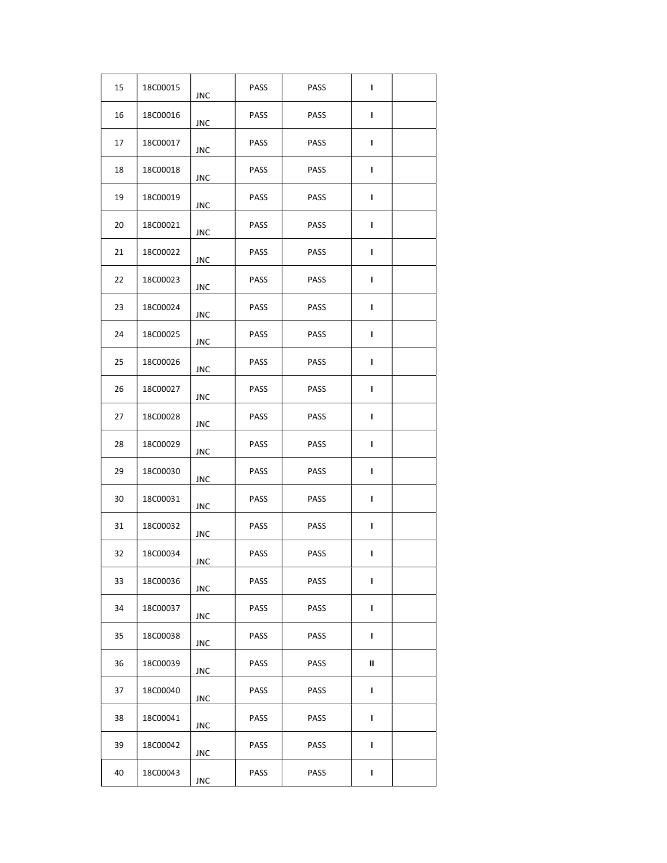| 15 | 18C00015 | <b>JNC</b> | PASS        | PASS        | L |  |
|----|----------|------------|-------------|-------------|---|--|
| 16 | 18C00016 | JNC        | PASS        | PASS        | Г |  |
| 17 | 18C00017 | JNC        | PASS        | PASS        | L |  |
| 18 | 18C00018 | JNC        | PASS        | <b>PASS</b> | L |  |
| 19 | 18C00019 | JNC        | <b>PASS</b> | <b>PASS</b> | L |  |
| 20 | 18C00021 | <b>JNC</b> | PASS        | PASS        | L |  |
| 21 | 18C00022 | JNC        | PASS        | PASS        | L |  |
| 22 | 18C00023 | JNC        | PASS        | PASS        | L |  |
| 23 | 18C00024 | <b>JNC</b> | <b>PASS</b> | PASS        | L |  |
| 24 | 18C00025 | JNC        | PASS        | PASS        | L |  |
| 25 | 18C00026 | JNC        | PASS        | PASS        | L |  |
| 26 | 18C00027 | JNC        | PASS        | PASS        | L |  |
| 27 | 18C00028 | JNC        | PASS        | PASS        | L |  |
| 28 | 18C00029 | JNC        | <b>PASS</b> | PASS        | L |  |
| 29 | 18C00030 | JNC        | PASS        | <b>PASS</b> | L |  |
| 30 | 18C00031 | JNC        | PASS        | PASS        | L |  |
| 31 | 18C00032 | JNC        | PASS        | PASS        | L |  |
| 32 | 18C00034 | JNC        | PASS        | PASS        | L |  |
| 33 | 18C00036 | <b>JNC</b> | PASS        | PASS        | L |  |
| 34 | 18C00037 | JNC        | PASS        | PASS        | L |  |
| 35 | 18C00038 | JNC        | PASS        | <b>PASS</b> | L |  |
| 36 | 18C00039 | JNC        | PASS        | PASS        | Ш |  |
| 37 | 18C00040 | <b>JNC</b> | PASS        | PASS        | L |  |
| 38 | 18C00041 | JNC        | PASS        | PASS        | L |  |
| 39 | 18C00042 | JNC        | PASS        | PASS        | L |  |
| 40 | 18C00043 | JNC        | <b>PASS</b> | <b>PASS</b> | L |  |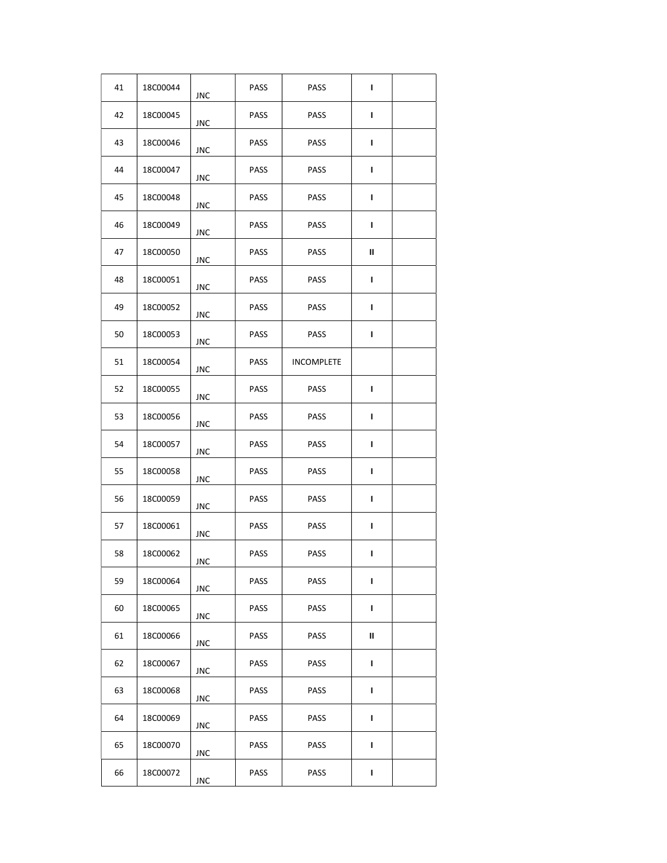| 41 | 18C00044 | JNC        | PASS        | PASS              | L |  |
|----|----------|------------|-------------|-------------------|---|--|
| 42 | 18C00045 | JNC        | PASS        | PASS              | L |  |
| 43 | 18C00046 | JNC        | <b>PASS</b> | PASS              | L |  |
| 44 | 18C00047 | JNC        | <b>PASS</b> | <b>PASS</b>       | L |  |
| 45 | 18C00048 | JNC        | <b>PASS</b> | <b>PASS</b>       | L |  |
| 46 | 18C00049 | JNC        | PASS        | PASS              | L |  |
| 47 | 18C00050 | JNC        | PASS        | PASS              | Ш |  |
| 48 | 18C00051 | JNC        | PASS        | PASS              | L |  |
| 49 | 18C00052 | JNC        | <b>PASS</b> | PASS              | L |  |
| 50 | 18C00053 | JNC        | PASS        | PASS              | L |  |
| 51 | 18C00054 | JNC        | PASS        | <b>INCOMPLETE</b> |   |  |
| 52 | 18C00055 | JNC        | <b>PASS</b> | PASS              | т |  |
| 53 | 18C00056 | JNC        | PASS        | PASS              | L |  |
| 54 | 18C00057 | JNC        | PASS        | PASS              | L |  |
| 55 | 18C00058 | JNC        | PASS        | PASS              | L |  |
| 56 | 18C00059 | JNC        | PASS        | <b>PASS</b>       | L |  |
| 57 | 18C00061 | JNC        | <b>PASS</b> | PASS              | L |  |
| 58 | 18C00062 | JNC        | PASS        | PASS              | L |  |
| 59 | 18C00064 | <b>JNC</b> | PASS        | PASS              | L |  |
| 60 | 18C00065 | JNC        | PASS        | <b>PASS</b>       | L |  |
| 61 | 18C00066 | JNC        | <b>PASS</b> | <b>PASS</b>       | Ш |  |
| 62 | 18C00067 | JNC        | PASS        | PASS              | L |  |
| 63 | 18C00068 | <b>JNC</b> | PASS        | PASS              | L |  |
| 64 | 18C00069 | JNC        | PASS        | PASS              | L |  |
| 65 | 18C00070 | JNC        | PASS        | PASS              | L |  |
| 66 | 18C00072 | JNC        | <b>PASS</b> | <b>PASS</b>       | L |  |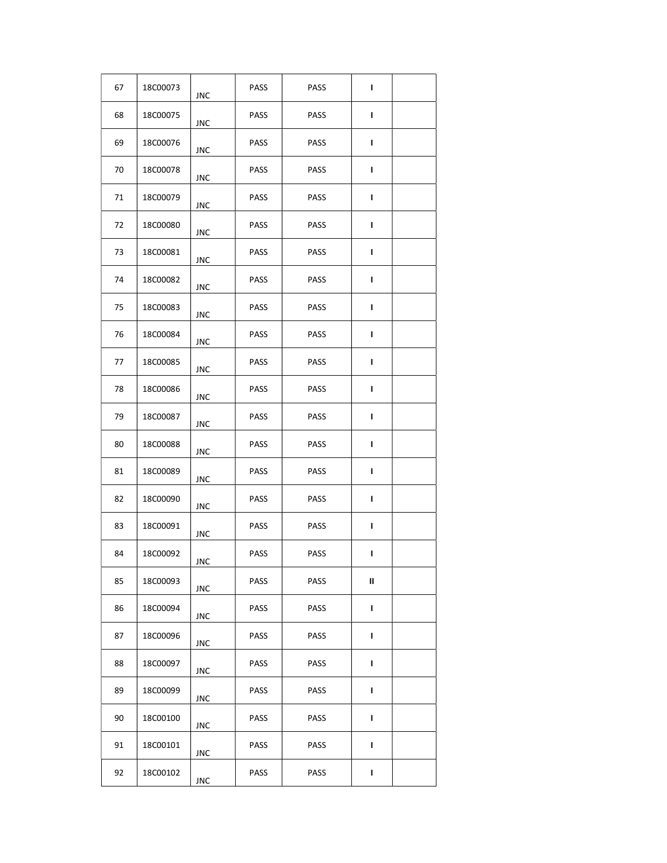| 67 | 18C00073 | <b>JNC</b> | PASS        | PASS        | L |  |
|----|----------|------------|-------------|-------------|---|--|
| 68 | 18C00075 | JNC        | PASS        | PASS        | Г |  |
| 69 | 18C00076 | JNC        | <b>PASS</b> | PASS        | L |  |
| 70 | 18C00078 | JNC        | <b>PASS</b> | <b>PASS</b> | L |  |
| 71 | 18C00079 | JNC        | PASS        | <b>PASS</b> | L |  |
| 72 | 18C00080 | <b>JNC</b> | PASS        | PASS        | L |  |
| 73 | 18C00081 | JNC        | PASS        | PASS        | L |  |
| 74 | 18C00082 | JNC        | PASS        | PASS        | L |  |
| 75 | 18C00083 | JNC        | <b>PASS</b> | PASS        | L |  |
| 76 | 18C00084 | JNC        | PASS        | PASS        | L |  |
| 77 | 18C00085 | JNC        | PASS        | PASS        | L |  |
| 78 | 18C00086 | JNC        | PASS        | PASS        | т |  |
| 79 | 18C00087 | JNC        | PASS        | PASS        | L |  |
| 80 | 18C00088 | JNC        | PASS        | PASS        | L |  |
| 81 | 18C00089 | JNC        | PASS        | PASS        | L |  |
| 82 | 18C00090 | JNC        | PASS        | PASS        | L |  |
| 83 | 18C00091 | JNC        | <b>PASS</b> | PASS        | L |  |
| 84 | 18C00092 | JNC        | PASS        | PASS        | L |  |
| 85 | 18C00093 | <b>JNC</b> | PASS        | PASS        | Ш |  |
| 86 | 18C00094 | JNC        | PASS        | PASS        | L |  |
| 87 | 18C00096 | JNC        | PASS        | PASS        | L |  |
| 88 | 18C00097 | <b>JNC</b> | PASS        | PASS        | L |  |
| 89 | 18C00099 | <b>JNC</b> | PASS        | PASS        | L |  |
| 90 | 18C00100 | JNC        | PASS        | PASS        | L |  |
| 91 | 18C00101 | JNC        | PASS        | PASS        | L |  |
| 92 | 18C00102 | <b>JNC</b> | <b>PASS</b> | <b>PASS</b> | L |  |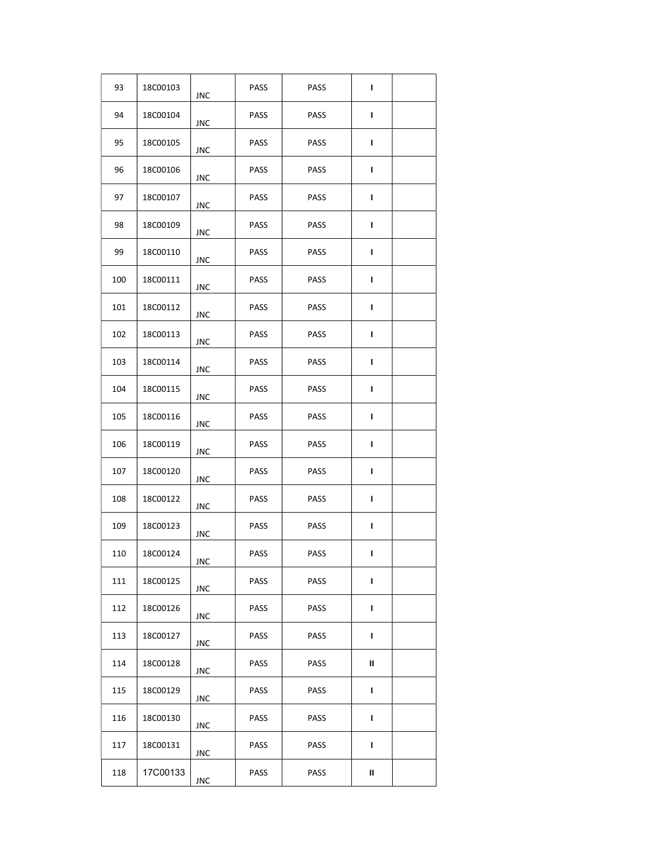| 93  | 18C00103 | JNC        | PASS        | <b>PASS</b> | т |  |
|-----|----------|------------|-------------|-------------|---|--|
| 94  | 18C00104 | JNC        | PASS        | <b>PASS</b> | L |  |
| 95  | 18C00105 | JNC        | <b>PASS</b> | <b>PASS</b> | L |  |
| 96  | 18C00106 | JNC        | <b>PASS</b> | <b>PASS</b> | L |  |
| 97  | 18C00107 | JNC        | <b>PASS</b> | <b>PASS</b> | L |  |
| 98  | 18C00109 | JNC        | PASS        | PASS        | п |  |
| 99  | 18C00110 | JNC        | PASS        | PASS        | L |  |
| 100 | 18C00111 | JNC        | PASS        | <b>PASS</b> | L |  |
| 101 | 18C00112 | JNC        | <b>PASS</b> | <b>PASS</b> | L |  |
| 102 | 18C00113 | <b>JNC</b> | PASS        | <b>PASS</b> | L |  |
| 103 | 18C00114 | JNC        | PASS        | <b>PASS</b> | L |  |
| 104 | 18C00115 | JNC        | <b>PASS</b> | <b>PASS</b> | т |  |
| 105 | 18C00116 | JNC        | PASS        | <b>PASS</b> | L |  |
| 106 | 18C00119 | JNC        | PASS        | <b>PASS</b> | L |  |
| 107 | 18C00120 | JNC        | <b>PASS</b> | <b>PASS</b> | т |  |
| 108 | 18C00122 | JNC        | <b>PASS</b> | <b>PASS</b> | L |  |
| 109 | 18C00123 | JNC        | <b>PASS</b> | PASS        | ı |  |
| 110 | 18C00124 | JNC        | PASS        | <b>PASS</b> | ı |  |
| 111 | 18C00125 | <b>JNC</b> | PASS        | PASS        | L |  |
| 112 | 18C00126 | <b>JNC</b> | PASS        | <b>PASS</b> | Г |  |
| 113 | 18C00127 | JNC        | PASS        | PASS        | L |  |
| 114 | 18C00128 | JNC        | PASS        | <b>PASS</b> | Ш |  |
| 115 | 18C00129 | <b>JNC</b> | PASS        | PASS        | L |  |
| 116 | 18C00130 | <b>JNC</b> | PASS        | PASS        | L |  |
| 117 | 18C00131 | <b>JNC</b> | PASS        | <b>PASS</b> | L |  |
| 118 | 17C00133 | JNC        | <b>PASS</b> | <b>PASS</b> | Ш |  |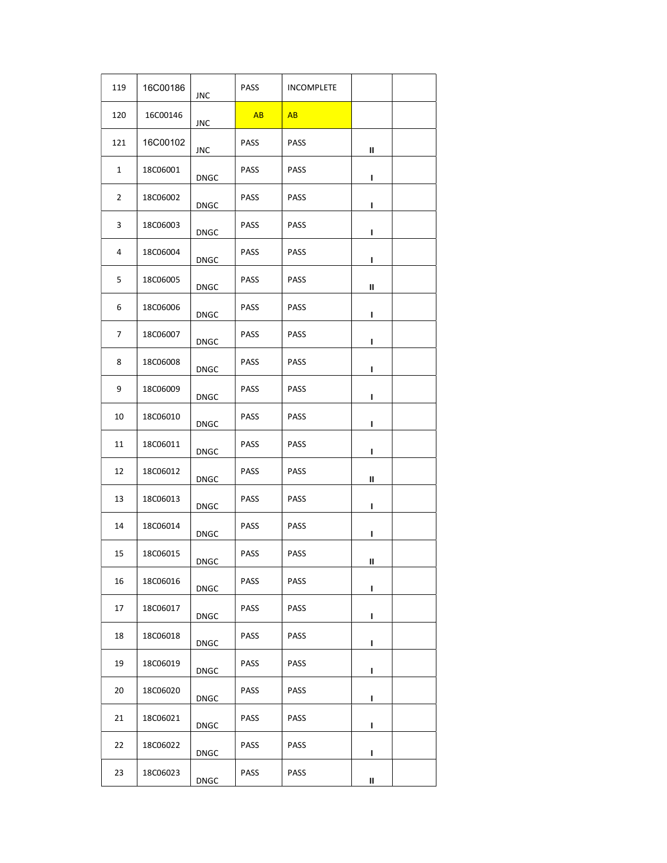| 119          | 16C00186        | JNC         | PASS        | <b>INCOMPLETE</b> |   |  |
|--------------|-----------------|-------------|-------------|-------------------|---|--|
| 120          | 16C00146        | JNC         | AB          | AB                |   |  |
| 121          | 16C00102        | JNC         | PASS        | <b>PASS</b>       | Ш |  |
| $\mathbf{1}$ | 18C06001        | <b>DNGC</b> | <b>PASS</b> | <b>PASS</b>       | L |  |
| 2            | 18C06002        | <b>DNGC</b> | <b>PASS</b> | <b>PASS</b>       | L |  |
| 3            | 18C06003        | DNGC        | PASS        | <b>PASS</b>       | L |  |
| 4            | 18C06004        | <b>DNGC</b> | PASS        | <b>PASS</b>       | L |  |
| 5            | 18C06005        | <b>DNGC</b> | PASS        | PASS              | Ш |  |
| 6            | <b>18C06006</b> | <b>DNGC</b> | <b>PASS</b> | PASS              | L |  |
| 7            | 18C06007        | <b>DNGC</b> | <b>PASS</b> | PASS              | L |  |
| 8            | <b>18C06008</b> | <b>DNGC</b> | PASS        | PASS              | L |  |
| 9            | 18C06009        | <b>DNGC</b> | <b>PASS</b> | <b>PASS</b>       | L |  |
| 10           | 18C06010        | <b>DNGC</b> | <b>PASS</b> | PASS              | L |  |
| 11           | 18C06011        | DNGC        | PASS        | PASS              | L |  |
| 12           | 18C06012        | <b>DNGC</b> | PASS        | <b>PASS</b>       | Ш |  |
| 13           | 18C06013        | <b>DNGC</b> | <b>PASS</b> | <b>PASS</b>       | L |  |
| 14           | 18C06014        | <b>DNGC</b> | <b>PASS</b> | <b>PASS</b>       | L |  |
| 15           | 18C06015        | <b>DNGC</b> | PASS        | <b>PASS</b>       | Ш |  |
| 16           | 18C06016        | <b>DNGC</b> | PASS        | PASS              | L |  |
| 17           | 18C06017        | <b>DNGC</b> | PASS        | PASS              | L |  |
| 18           | 18C06018        | <b>DNGC</b> | <b>PASS</b> | <b>PASS</b>       | L |  |
| 19           | 18C06019        | DNGC        | PASS        | PASS              | L |  |
| 20           | 18C06020        | DNGC        | PASS        | PASS              | L |  |
| 21           | 18C06021        | <b>DNGC</b> | PASS        | PASS              | L |  |
| 22           | 18C06022        | <b>DNGC</b> | <b>PASS</b> | <b>PASS</b>       | L |  |
| 23           | 18C06023        | <b>DNGC</b> | <b>PASS</b> | PASS              | Ш |  |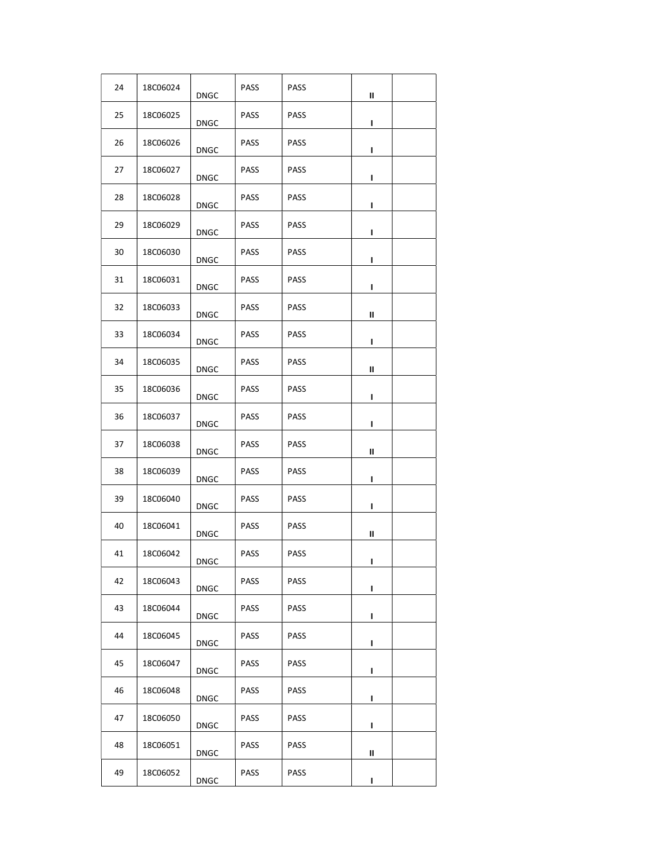| 24 | 18C06024 | <b>DNGC</b> | <b>PASS</b> | <b>PASS</b> | Ш |  |
|----|----------|-------------|-------------|-------------|---|--|
| 25 | 18C06025 | <b>DNGC</b> | <b>PASS</b> | PASS        | L |  |
| 26 | 18C06026 | <b>DNGC</b> | <b>PASS</b> | PASS        | L |  |
| 27 | 18C06027 | <b>DNGC</b> | PASS        | <b>PASS</b> | L |  |
| 28 | 18C06028 | <b>DNGC</b> | <b>PASS</b> | <b>PASS</b> | ı |  |
| 29 | 18C06029 | DNGC        | <b>PASS</b> | <b>PASS</b> | ı |  |
| 30 | 18C06030 | DNGC        | <b>PASS</b> | <b>PASS</b> | ı |  |
| 31 | 18C06031 | DNGC        | <b>PASS</b> | PASS        | L |  |
| 32 | 18C06033 | <b>DNGC</b> | <b>PASS</b> | <b>PASS</b> | Ш |  |
| 33 | 18C06034 | <b>DNGC</b> | <b>PASS</b> | <b>PASS</b> | L |  |
| 34 | 18C06035 | <b>DNGC</b> | <b>PASS</b> | PASS        | Ш |  |
| 35 | 18C06036 | <b>DNGC</b> | PASS        | PASS        | L |  |
| 36 | 18C06037 | DNGC        | PASS        | <b>PASS</b> | L |  |
| 37 | 18C06038 | DNGC        | <b>PASS</b> | <b>PASS</b> | Ш |  |
| 38 | 18C06039 | <b>DNGC</b> | PASS        | PASS        | L |  |
| 39 | 18C06040 | DNGC        | <b>PASS</b> | <b>PASS</b> | т |  |
| 40 | 18C06041 | <b>DNGC</b> | <b>PASS</b> | <b>PASS</b> | Ш |  |
| 41 | 18C06042 | <b>DNGC</b> | <b>PASS</b> | <b>PASS</b> | L |  |
| 42 | 18C06043 | <b>DNGC</b> | <b>PASS</b> | PASS        | L |  |
| 43 | 18C06044 | <b>DNGC</b> | <b>PASS</b> | PASS        | п |  |
| 44 | 18C06045 | DNGC        | PASS        | PASS        | L |  |
| 45 | 18C06047 | <b>DNGC</b> | <b>PASS</b> | <b>PASS</b> | L |  |
| 46 | 18C06048 | DNGC        | <b>PASS</b> | PASS        | L |  |
| 47 | 18C06050 | <b>DNGC</b> | <b>PASS</b> | PASS        | L |  |
| 48 | 18C06051 | DNGC        | PASS        | PASS        | Ш |  |
| 49 | 18C06052 | <b>DNGC</b> | PASS        | <b>PASS</b> | L |  |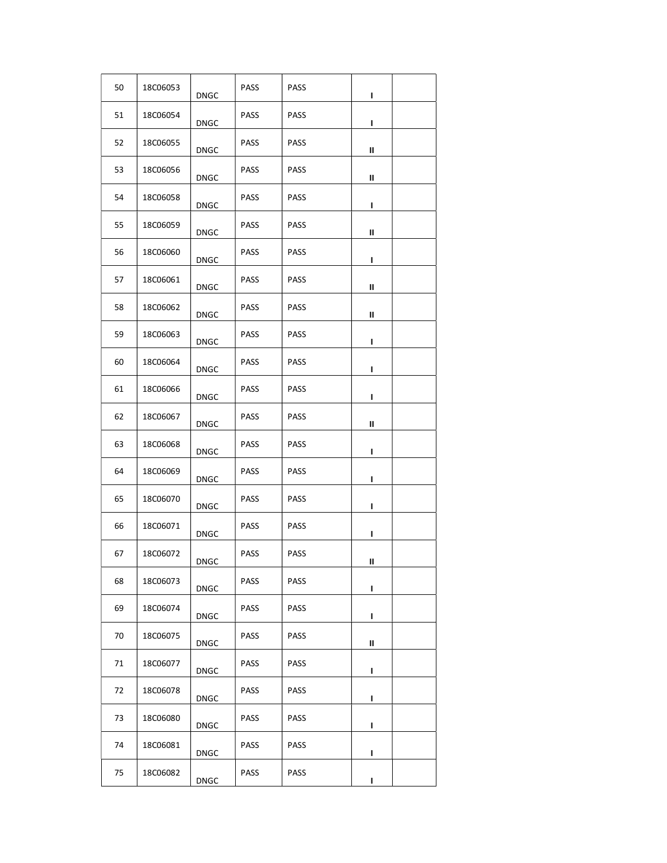| 50 | 18C06053        | <b>DNGC</b> | <b>PASS</b> | <b>PASS</b> | L |  |
|----|-----------------|-------------|-------------|-------------|---|--|
| 51 | 18C06054        | <b>DNGC</b> | <b>PASS</b> | PASS        | L |  |
| 52 | 18C06055        | <b>DNGC</b> | <b>PASS</b> | PASS        | Ш |  |
| 53 | 18C06056        | <b>DNGC</b> | PASS        | PASS        | Ш |  |
| 54 | 18C06058        | <b>DNGC</b> | <b>PASS</b> | <b>PASS</b> | L |  |
| 55 | 18C06059        | <b>DNGC</b> | <b>PASS</b> | <b>PASS</b> | Ш |  |
| 56 | <b>18C06060</b> | <b>DNGC</b> | <b>PASS</b> | <b>PASS</b> | L |  |
| 57 | 18C06061        | <b>DNGC</b> | <b>PASS</b> | <b>PASS</b> | Ш |  |
| 58 | 18C06062        | <b>DNGC</b> | <b>PASS</b> | <b>PASS</b> | Ш |  |
| 59 | 18C06063        | <b>DNGC</b> | <b>PASS</b> | <b>PASS</b> | L |  |
| 60 | 18C06064        | <b>DNGC</b> | <b>PASS</b> | PASS        | L |  |
| 61 | 18C06066        | <b>DNGC</b> | <b>PASS</b> | PASS        | L |  |
| 62 | 18C06067        | <b>DNGC</b> | PASS        | <b>PASS</b> | Ш |  |
| 63 | 18C06068        | <b>DNGC</b> | <b>PASS</b> | <b>PASS</b> | L |  |
| 64 | 18C06069        | <b>DNGC</b> | <b>PASS</b> | PASS        | ı |  |
| 65 | 18C06070        | <b>DNGC</b> | <b>PASS</b> | <b>PASS</b> | L |  |
| 66 | 18C06071        | <b>DNGC</b> | <b>PASS</b> | <b>PASS</b> | L |  |
| 67 | 18C06072        | <b>DNGC</b> | <b>PASS</b> | <b>PASS</b> | Ш |  |
| 68 | 18C06073        | <b>DNGC</b> | <b>PASS</b> | PASS        | L |  |
| 69 | 18C06074        | <b>DNGC</b> | <b>PASS</b> | PASS        | L |  |
| 70 | 18C06075        | <b>DNGC</b> | <b>PASS</b> | <b>PASS</b> | Ш |  |
| 71 | 18C06077        | <b>DNGC</b> | <b>PASS</b> | <b>PASS</b> | L |  |
| 72 | 18C06078        | <b>DNGC</b> | <b>PASS</b> | PASS        | L |  |
| 73 | 18C06080        | <b>DNGC</b> | <b>PASS</b> | PASS        | L |  |
| 74 | 18C06081        | <b>DNGC</b> | PASS        | PASS        | L |  |
| 75 | 18C06082        | <b>DNGC</b> | PASS        | <b>PASS</b> | L |  |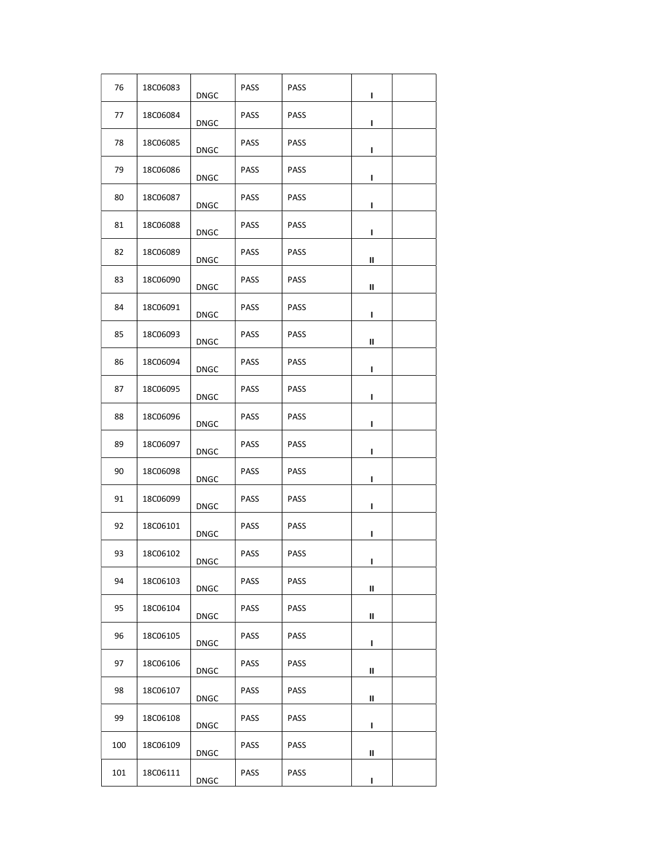| 76  | 18C06083        | <b>DNGC</b> | <b>PASS</b> | <b>PASS</b> | L |  |
|-----|-----------------|-------------|-------------|-------------|---|--|
| 77  | 18C06084        | <b>DNGC</b> | <b>PASS</b> | PASS        | L |  |
| 78  | 18C06085        | <b>DNGC</b> | <b>PASS</b> | PASS        | L |  |
| 79  | <b>18C06086</b> | <b>DNGC</b> | <b>PASS</b> | PASS        | L |  |
| 80  | 18C06087        | <b>DNGC</b> | <b>PASS</b> | <b>PASS</b> | L |  |
| 81  | <b>18C06088</b> | <b>DNGC</b> | <b>PASS</b> | <b>PASS</b> | L |  |
| 82  | 18C06089        | <b>DNGC</b> | <b>PASS</b> | <b>PASS</b> | Ш |  |
| 83  | 18C06090        | <b>DNGC</b> | <b>PASS</b> | <b>PASS</b> | Ш |  |
| 84  | 18C06091        | <b>DNGC</b> | <b>PASS</b> | <b>PASS</b> | L |  |
| 85  | 18C06093        | <b>DNGC</b> | <b>PASS</b> | <b>PASS</b> | Ш |  |
| 86  | 18C06094        | <b>DNGC</b> | <b>PASS</b> | PASS        | L |  |
| 87  | 18C06095        | <b>DNGC</b> | PASS        | PASS        | L |  |
| 88  | 18C06096        | <b>DNGC</b> | PASS        | <b>PASS</b> | L |  |
| 89  | 18C06097        | <b>DNGC</b> | <b>PASS</b> | <b>PASS</b> | L |  |
| 90  | 18C06098        | <b>DNGC</b> | <b>PASS</b> | PASS        | ı |  |
| 91  | 18C06099        | <b>DNGC</b> | <b>PASS</b> | <b>PASS</b> | L |  |
| 92  | 18C06101        | <b>DNGC</b> | <b>PASS</b> | <b>PASS</b> | L |  |
| 93  | 18C06102        | <b>DNGC</b> | <b>PASS</b> | <b>PASS</b> | L |  |
| 94  | 18C06103        | <b>DNGC</b> | <b>PASS</b> | PASS        | Ш |  |
| 95  | 18C06104        | <b>DNGC</b> | <b>PASS</b> | PASS        | Ш |  |
| 96  | 18C06105        | <b>DNGC</b> | <b>PASS</b> | PASS        | L |  |
| 97  | 18C06106        | <b>DNGC</b> | <b>PASS</b> | <b>PASS</b> | Ш |  |
| 98  | 18C06107        | <b>DNGC</b> | <b>PASS</b> | <b>PASS</b> | Ш |  |
| 99  | 18C06108        | <b>DNGC</b> | <b>PASS</b> | PASS        | L |  |
| 100 | 18C06109        | <b>DNGC</b> | <b>PASS</b> | PASS        | Ш |  |
| 101 | 18C06111        | <b>DNGC</b> | PASS        | <b>PASS</b> | L |  |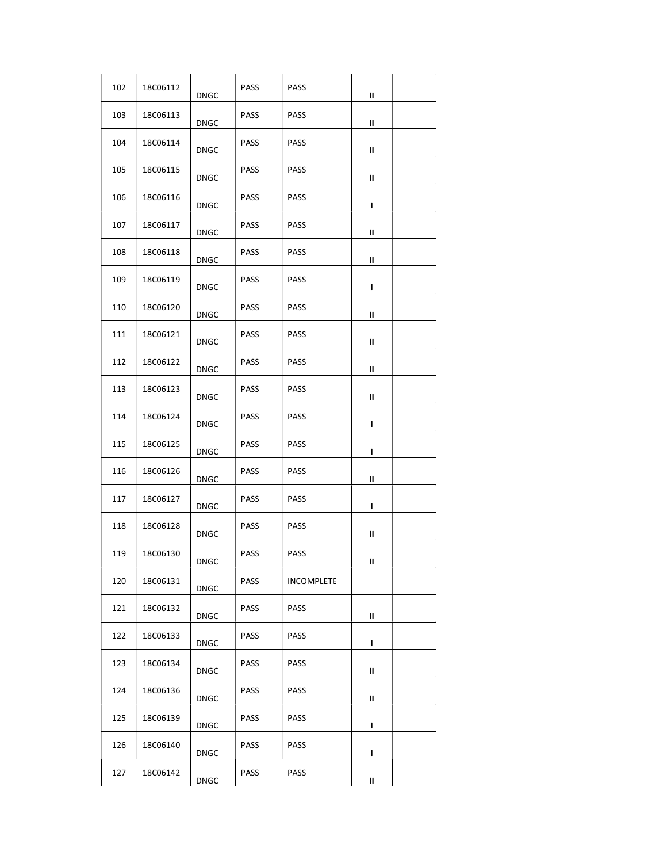| 102 | 18C06112 | <b>DNGC</b> | <b>PASS</b> | <b>PASS</b> | Ш |  |
|-----|----------|-------------|-------------|-------------|---|--|
| 103 | 18C06113 | <b>DNGC</b> | <b>PASS</b> | PASS        | Ш |  |
| 104 | 18C06114 | <b>DNGC</b> | <b>PASS</b> | PASS        | Ш |  |
| 105 | 18C06115 | <b>DNGC</b> | <b>PASS</b> | <b>PASS</b> | Ш |  |
| 106 | 18C06116 | <b>DNGC</b> | <b>PASS</b> | <b>PASS</b> | L |  |
| 107 | 18C06117 | <b>DNGC</b> | <b>PASS</b> | <b>PASS</b> | Ш |  |
| 108 | 18C06118 | <b>DNGC</b> | <b>PASS</b> | PASS        | Ш |  |
| 109 | 18C06119 | <b>DNGC</b> | <b>PASS</b> | <b>PASS</b> | L |  |
| 110 | 18C06120 | <b>DNGC</b> | <b>PASS</b> | <b>PASS</b> | Ш |  |
| 111 | 18C06121 | DNGC        | <b>PASS</b> | PASS        | Ш |  |
| 112 | 18C06122 | <b>DNGC</b> | <b>PASS</b> | PASS        | Ш |  |
| 113 | 18C06123 | <b>DNGC</b> | <b>PASS</b> | <b>PASS</b> | Ш |  |
| 114 | 18C06124 | <b>DNGC</b> | <b>PASS</b> | <b>PASS</b> | L |  |
| 115 | 18C06125 | <b>DNGC</b> | <b>PASS</b> | <b>PASS</b> | п |  |
| 116 | 18C06126 | <b>DNGC</b> | <b>PASS</b> | <b>PASS</b> | Ш |  |
| 117 | 18C06127 | <b>DNGC</b> | <b>PASS</b> | <b>PASS</b> | L |  |
| 118 | 18C06128 | <b>DNGC</b> | <b>PASS</b> | <b>PASS</b> | Ш |  |
| 119 | 18C06130 | DNGC        | <b>PASS</b> | <b>PASS</b> | Ш |  |
| 120 | 18C06131 | <b>DNGC</b> | PASS        | INCOMPLETE  |   |  |
| 121 | 18C06132 | <b>DNGC</b> | <b>PASS</b> | PASS        | Ш |  |
| 122 | 18C06133 | <b>DNGC</b> | <b>PASS</b> | PASS        | L |  |
| 123 | 18C06134 | <b>DNGC</b> | <b>PASS</b> | <b>PASS</b> | Ш |  |
| 124 | 18C06136 | <b>DNGC</b> | <b>PASS</b> | PASS        | Ш |  |
| 125 | 18C06139 | <b>DNGC</b> | <b>PASS</b> | PASS        | L |  |
| 126 | 18C06140 | <b>DNGC</b> | <b>PASS</b> | PASS        | L |  |
| 127 | 18C06142 | <b>DNGC</b> | PASS        | <b>PASS</b> | Ш |  |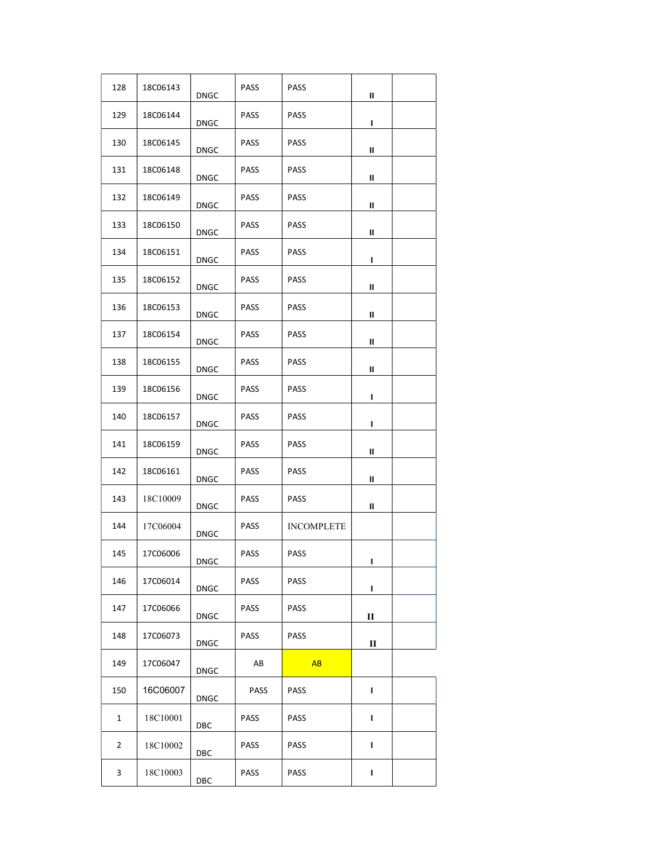| 128            | 18C06143 | <b>DNGC</b> | <b>PASS</b> | <b>PASS</b>       | Ш |  |
|----------------|----------|-------------|-------------|-------------------|---|--|
| 129            | 18C06144 | <b>DNGC</b> | PASS        | <b>PASS</b>       | L |  |
| 130            | 18C06145 | <b>DNGC</b> | <b>PASS</b> | PASS              | Ш |  |
| 131            | 18C06148 | <b>DNGC</b> | <b>PASS</b> | <b>PASS</b>       | Ш |  |
| 132            | 18C06149 | <b>DNGC</b> | <b>PASS</b> | <b>PASS</b>       | Ш |  |
| 133            | 18C06150 | <b>DNGC</b> | <b>PASS</b> | <b>PASS</b>       | Ш |  |
| 134            | 18C06151 | <b>DNGC</b> | PASS        | <b>PASS</b>       | ı |  |
| 135            | 18C06152 | <b>DNGC</b> | <b>PASS</b> | <b>PASS</b>       | Ш |  |
| 136            | 18C06153 | <b>DNGC</b> | <b>PASS</b> | <b>PASS</b>       | Ш |  |
| 137            | 18C06154 | DNGC        | PASS        | PASS              | Ш |  |
| 138            | 18C06155 | <b>DNGC</b> | <b>PASS</b> | <b>PASS</b>       | Ш |  |
| 139            | 18C06156 | <b>DNGC</b> | PASS        | <b>PASS</b>       | L |  |
| 140            | 18C06157 | <b>DNGC</b> | <b>PASS</b> | <b>PASS</b>       | L |  |
| 141            | 18C06159 | DNGC        | <b>PASS</b> | <b>PASS</b>       | Ш |  |
| 142            | 18C06161 | <b>DNGC</b> | <b>PASS</b> | <b>PASS</b>       | Ш |  |
| 143            | 18C10009 | <b>DNGC</b> | <b>PASS</b> | <b>PASS</b>       | Ш |  |
| 144            | 17C06004 | <b>DNGC</b> | <b>PASS</b> | <b>INCOMPLETE</b> |   |  |
| 145            | 17C06006 | <b>DNGC</b> | <b>PASS</b> | <b>PASS</b>       | L |  |
| 146            | 17C06014 | <b>DNGC</b> | PASS        | PASS              | L |  |
| 147            | 17C06066 | <b>DNGC</b> | PASS        | <b>PASS</b>       | П |  |
| 148            | 17C06073 | <b>DNGC</b> | PASS        | <b>PASS</b>       | П |  |
| 149            | 17C06047 | <b>DNGC</b> | AB          | AB                |   |  |
| 150            | 16C06007 | DNGC        | PASS        | <b>PASS</b>       | L |  |
| 1              | 18C10001 | DBC         | PASS        | <b>PASS</b>       | L |  |
| $\overline{2}$ | 18C10002 | DBC         | <b>PASS</b> | <b>PASS</b>       | L |  |
| 3              | 18C10003 | DBC         | <b>PASS</b> | <b>PASS</b>       | L |  |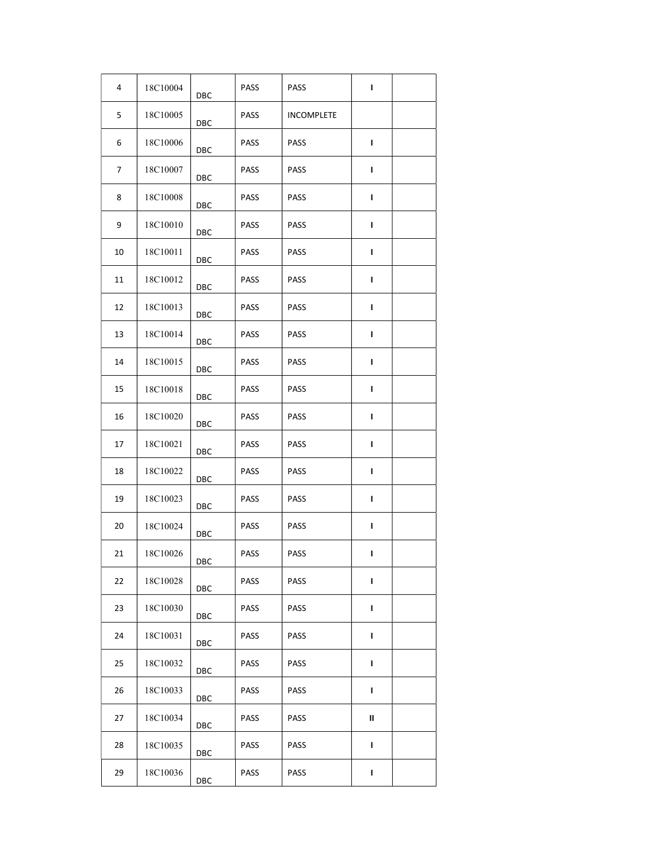| 4  | 18C10004 | DBC | <b>PASS</b> | <b>PASS</b>       | п |  |
|----|----------|-----|-------------|-------------------|---|--|
| 5  | 18C10005 | DBC | <b>PASS</b> | <b>INCOMPLETE</b> |   |  |
| 6  | 18C10006 | DBC | PASS        | <b>PASS</b>       | L |  |
| 7  | 18C10007 | DBC | PASS        | <b>PASS</b>       | L |  |
| 8  | 18C10008 | DBC | <b>PASS</b> | <b>PASS</b>       | т |  |
| 9  | 18C10010 | DBC | <b>PASS</b> | <b>PASS</b>       | т |  |
| 10 | 18C10011 | DBC | <b>PASS</b> | PASS              | т |  |
| 11 | 18C10012 | DBC | PASS        | PASS              | ı |  |
| 12 | 18C10013 | DBC | PASS        | <b>PASS</b>       | т |  |
| 13 | 18C10014 | DBC | <b>PASS</b> | PASS              | L |  |
| 14 | 18C10015 | DBC | PASS        | PASS              | т |  |
| 15 | 18C10018 | DBC | PASS        | PASS              | L |  |
| 16 | 18C10020 | DBC | PASS        | PASS              | L |  |
| 17 | 18C10021 | DBC | <b>PASS</b> | <b>PASS</b>       | т |  |
| 18 | 18C10022 | DBC | <b>PASS</b> | PASS              | L |  |
| 19 | 18C10023 | DBC | <b>PASS</b> | PASS              | ı |  |
| 20 | 18C10024 | DBC | PASS        | <b>PASS</b>       | т |  |
| 21 | 18C10026 | DBC | PASS        | <b>PASS</b>       | ı |  |
| 22 | 18C10028 | DBC | PASS        | PASS              | L |  |
| 23 | 18C10030 | DBC | PASS        | <b>PASS</b>       | L |  |
| 24 | 18C10031 | DBC | PASS        | <b>PASS</b>       | L |  |
| 25 | 18C10032 | DBC | <b>PASS</b> | PASS              | L |  |
| 26 | 18C10033 | DBC | <b>PASS</b> | PASS              | L |  |
| 27 | 18C10034 | DBC | PASS        | PASS              | Ш |  |
| 28 | 18C10035 | DBC | PASS        | <b>PASS</b>       | L |  |
| 29 | 18C10036 | DBC | PASS        | PASS              | L |  |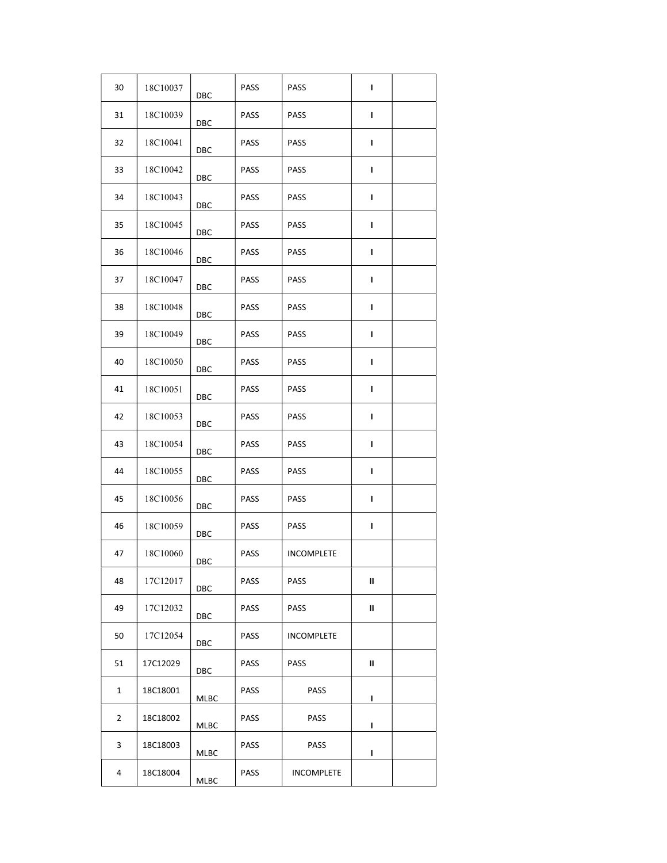| 30 | 18C10037 | DBC        | <b>PASS</b> | <b>PASS</b>       | т |  |
|----|----------|------------|-------------|-------------------|---|--|
| 31 | 18C10039 | DBC        | <b>PASS</b> | PASS              | L |  |
| 32 | 18C10041 | DBC        | PASS        | <b>PASS</b>       | L |  |
| 33 | 18C10042 | DBC        | PASS        | <b>PASS</b>       | L |  |
| 34 | 18C10043 | DBC        | <b>PASS</b> | <b>PASS</b>       | ı |  |
| 35 | 18C10045 | DBC        | <b>PASS</b> | <b>PASS</b>       | т |  |
| 36 | 18C10046 | DBC        | <b>PASS</b> | PASS              | т |  |
| 37 | 18C10047 | DBC        | <b>PASS</b> | PASS              | ı |  |
| 38 | 18C10048 | DBC        | <b>PASS</b> | <b>PASS</b>       | т |  |
| 39 | 18C10049 | DBC        | <b>PASS</b> | <b>PASS</b>       | т |  |
| 40 | 18C10050 | DBC        | <b>PASS</b> | PASS              | т |  |
| 41 | 18C10051 | DBC        | PASS        | PASS              | п |  |
| 42 | 18C10053 | DBC        | PASS        | PASS              | L |  |
| 43 | 18C10054 | DBC        | <b>PASS</b> | PASS              | т |  |
| 44 | 18C10055 | DBC        | <b>PASS</b> | PASS              | т |  |
| 45 | 18C10056 | DBC        | <b>PASS</b> | <b>PASS</b>       | ı |  |
| 46 | 18C10059 | DBC        | PASS        | <b>PASS</b>       | т |  |
| 47 | 18C10060 | DBC        | <b>PASS</b> | <b>INCOMPLETE</b> |   |  |
| 48 | 17C12017 | <b>DBC</b> | PASS        | PASS              | Ш |  |
| 49 | 17C12032 | DBC        | PASS        | PASS              | Ш |  |
| 50 | 17C12054 | DBC        | <b>PASS</b> | <b>INCOMPLETE</b> |   |  |
| 51 | 17C12029 | DBC        | <b>PASS</b> | <b>PASS</b>       | Ш |  |
| 1  | 18C18001 | MLBC       | <b>PASS</b> | <b>PASS</b>       | L |  |
| 2  | 18C18002 | MLBC       | <b>PASS</b> | <b>PASS</b>       | L |  |
| 3  | 18C18003 | MLBC       | <b>PASS</b> | <b>PASS</b>       | L |  |
| 4  | 18C18004 | MLBC       | PASS        | <b>INCOMPLETE</b> |   |  |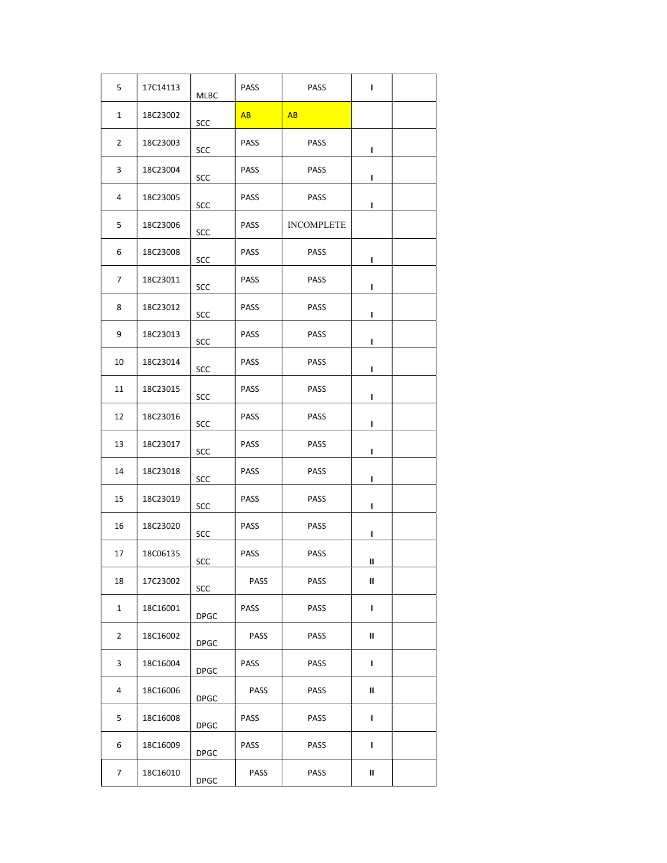| 5              | 17C14113 | MLBC        | PASS        | <b>PASS</b>       | L |  |
|----------------|----------|-------------|-------------|-------------------|---|--|
| 1              | 18C23002 | SCC         | AB          | AB                |   |  |
| $\overline{2}$ | 18C23003 | SCC         | <b>PASS</b> | PASS              | L |  |
| 3              | 18C23004 | SCC         | <b>PASS</b> | <b>PASS</b>       | L |  |
| 4              | 18C23005 | SCC         | <b>PASS</b> | <b>PASS</b>       | L |  |
| 5              | 18C23006 | SCC         | <b>PASS</b> | <b>INCOMPLETE</b> |   |  |
| 6              | 18C23008 | SCC         | <b>PASS</b> | <b>PASS</b>       | L |  |
| 7              | 18C23011 | SCC         | <b>PASS</b> | PASS              | L |  |
| 8              | 18C23012 | SCC         | <b>PASS</b> | <b>PASS</b>       | L |  |
| 9              | 18C23013 | SCC         | <b>PASS</b> | <b>PASS</b>       | L |  |
| 10             | 18C23014 | SCC         | <b>PASS</b> | PASS              | L |  |
| 11             | 18C23015 | SCC         | <b>PASS</b> | PASS              | L |  |
| 12             | 18C23016 | SCC         | <b>PASS</b> | <b>PASS</b>       | L |  |
| 13             | 18C23017 | SCC         | PASS        | <b>PASS</b>       | L |  |
| 14             | 18C23018 | SCC         | <b>PASS</b> | <b>PASS</b>       | L |  |
| 15             | 18C23019 | SCC         | <b>PASS</b> | <b>PASS</b>       | L |  |
| 16             | 18C23020 | SCC         | <b>PASS</b> | PASS              | L |  |
| 17             | 18C06135 | SCC         | PASS        | <b>PASS</b>       | Ш |  |
| 18             | 17C23002 | SCC         | PASS        | PASS              | Ш |  |
| $\mathbf{1}$   | 18C16001 | <b>DPGC</b> | <b>PASS</b> | <b>PASS</b>       | L |  |
| $\overline{2}$ | 18C16002 | <b>DPGC</b> | <b>PASS</b> | PASS              | Ш |  |
| 3              | 18C16004 | <b>DPGC</b> | <b>PASS</b> | PASS              | L |  |
| 4              | 18C16006 | <b>DPGC</b> | PASS        | PASS              | Ш |  |
| 5              | 18C16008 | <b>DPGC</b> | <b>PASS</b> | <b>PASS</b>       | L |  |
| 6              | 18C16009 | <b>DPGC</b> | <b>PASS</b> | <b>PASS</b>       | L |  |
| 7              | 18C16010 | <b>DPGC</b> | <b>PASS</b> | <b>PASS</b>       | Ш |  |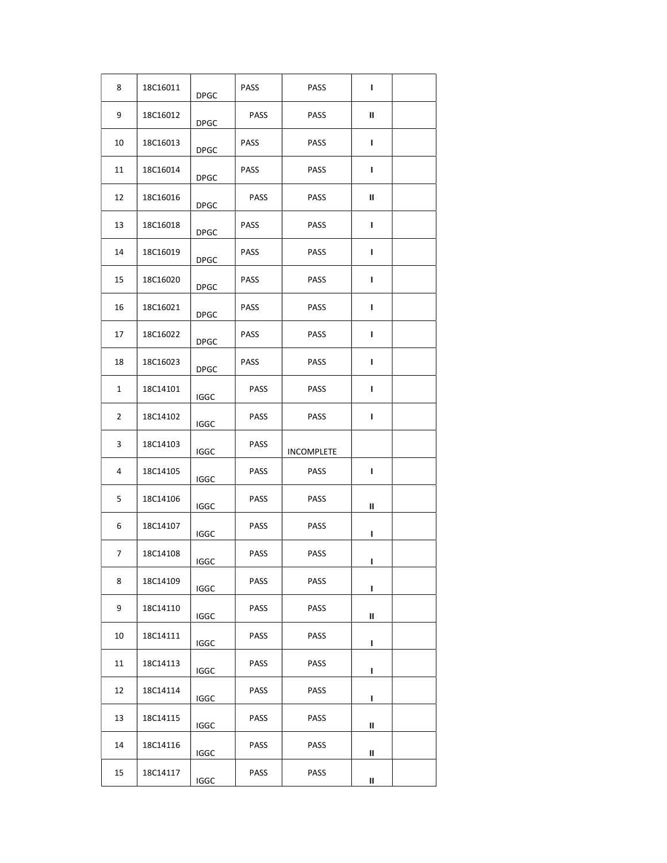| 8            | 18C16011 | <b>DPGC</b> | <b>PASS</b> | PASS        | L |  |
|--------------|----------|-------------|-------------|-------------|---|--|
| 9            | 18C16012 | <b>DPGC</b> | PASS        | PASS        | Ш |  |
| 10           | 18C16013 | <b>DPGC</b> | <b>PASS</b> | <b>PASS</b> | L |  |
| 11           | 18C16014 | DPGC        | <b>PASS</b> | <b>PASS</b> | L |  |
| 12           | 18C16016 | <b>DPGC</b> | <b>PASS</b> | <b>PASS</b> | Ш |  |
| 13           | 18C16018 | <b>DPGC</b> | <b>PASS</b> | PASS        | L |  |
| 14           | 18C16019 | <b>DPGC</b> | <b>PASS</b> | PASS        | L |  |
| 15           | 18C16020 | <b>DPGC</b> | PASS        | PASS        | L |  |
| 16           | 18C16021 | <b>DPGC</b> | <b>PASS</b> | PASS        | L |  |
| 17           | 18C16022 | <b>DPGC</b> | <b>PASS</b> | PASS        | L |  |
| 18           | 18C16023 | <b>DPGC</b> | <b>PASS</b> | PASS        | L |  |
| $\mathbf{1}$ | 18C14101 | <b>IGGC</b> | <b>PASS</b> | PASS        | т |  |
| 2            | 18C14102 | <b>IGGC</b> | <b>PASS</b> | PASS        | L |  |
|              |          |             |             |             |   |  |
| 3            | 18C14103 | <b>IGGC</b> | <b>PASS</b> | INCOMPLETE  |   |  |
| 4            | 18C14105 | <b>IGGC</b> | PASS        | <b>PASS</b> | L |  |
| 5            | 18C14106 | <b>IGGC</b> | <b>PASS</b> | <b>PASS</b> | Ш |  |
| 6            | 18C14107 | <b>IGGC</b> | <b>PASS</b> | PASS        | L |  |
| 7            | 18C14108 | <b>IGGC</b> | PASS        | <b>PASS</b> | L |  |
| 8            | 18C14109 | <b>IGGC</b> | PASS        | PASS        | L |  |
| 9            | 18C14110 | <b>IGGC</b> | PASS        | PASS        | Ш |  |
| 10           | 18C14111 | <b>IGGC</b> | PASS        | <b>PASS</b> | L |  |
| 11           | 18C14113 | <b>IGGC</b> | PASS        | PASS        | ı |  |
| 12           | 18C14114 | <b>IGGC</b> | PASS        | PASS        | L |  |
| 13           | 18C14115 | IGGC        | PASS        | PASS        | Ш |  |
| 14           | 18C14116 | <b>IGGC</b> | PASS        | PASS        | Ш |  |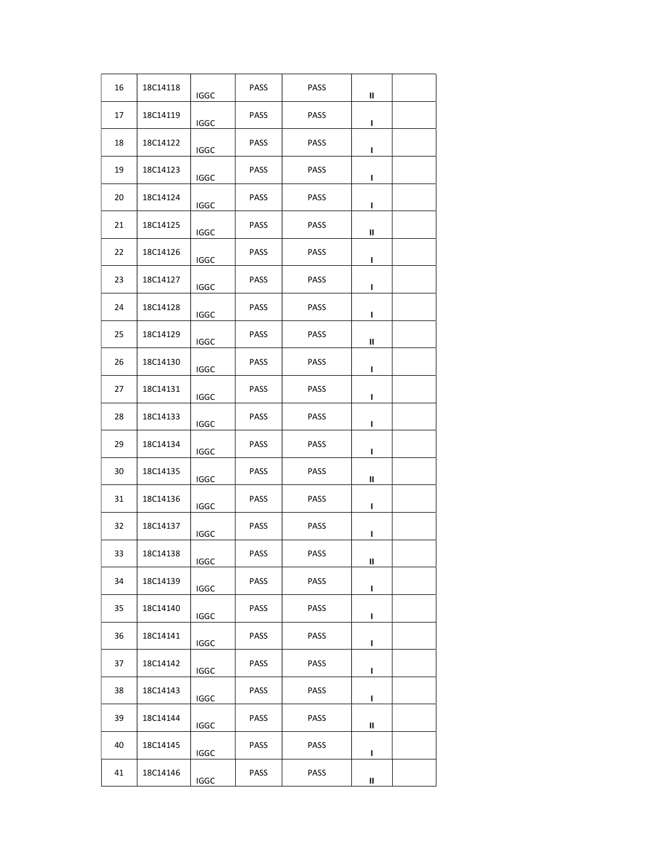| 16 | 18C14118 | <b>IGGC</b> | PASS        | <b>PASS</b> | Ш |  |
|----|----------|-------------|-------------|-------------|---|--|
| 17 | 18C14119 | IGGC        | PASS        | <b>PASS</b> | L |  |
| 18 | 18C14122 | <b>IGGC</b> | PASS        | <b>PASS</b> | L |  |
| 19 | 18C14123 | <b>IGGC</b> | <b>PASS</b> | <b>PASS</b> | L |  |
| 20 | 18C14124 | IGGC        | <b>PASS</b> | <b>PASS</b> | ı |  |
| 21 | 18C14125 | <b>IGGC</b> | PASS        | PASS        | Ш |  |
| 22 | 18C14126 | <b>IGGC</b> | PASS        | <b>PASS</b> | L |  |
| 23 | 18C14127 | <b>IGGC</b> | PASS        | <b>PASS</b> | L |  |
| 24 | 18C14128 | <b>IGGC</b> | PASS        | <b>PASS</b> | L |  |
| 25 | 18C14129 | IGGC        | PASS        | <b>PASS</b> | Ш |  |
| 26 | 18C14130 | <b>IGGC</b> | PASS        | <b>PASS</b> | L |  |
| 27 | 18C14131 | <b>IGGC</b> | PASS        | <b>PASS</b> | L |  |
| 28 | 18C14133 | <b>IGGC</b> | PASS        | <b>PASS</b> | L |  |
| 29 | 18C14134 | <b>IGGC</b> | PASS        | <b>PASS</b> | L |  |
| 30 | 18C14135 | IGGC        | PASS        | <b>PASS</b> | Ш |  |
| 31 | 18C14136 | <b>IGGC</b> | <b>PASS</b> | PASS        | L |  |
| 32 | 18C14137 | <b>IGGC</b> | <b>PASS</b> | <b>PASS</b> | L |  |
| 33 | 18C14138 | IGGC        | PASS        | <b>PASS</b> | Ш |  |
| 34 | 18C14139 | <b>IGGC</b> | PASS        | <b>PASS</b> | L |  |
| 35 | 18C14140 | <b>IGGC</b> | PASS        | <b>PASS</b> | L |  |
| 36 | 18C14141 | <b>IGGC</b> | <b>PASS</b> | PASS        | L |  |
| 37 | 18C14142 | <b>IGGC</b> | PASS        | <b>PASS</b> | ı |  |
| 38 | 18C14143 | <b>IGGC</b> | PASS        | PASS        | L |  |
| 39 | 18C14144 | <b>IGGC</b> | PASS        | PASS        | Ш |  |
| 40 | 18C14145 | <b>IGGC</b> | PASS        | <b>PASS</b> | L |  |
| 41 | 18C14146 | IGGC        | <b>PASS</b> | <b>PASS</b> | Ш |  |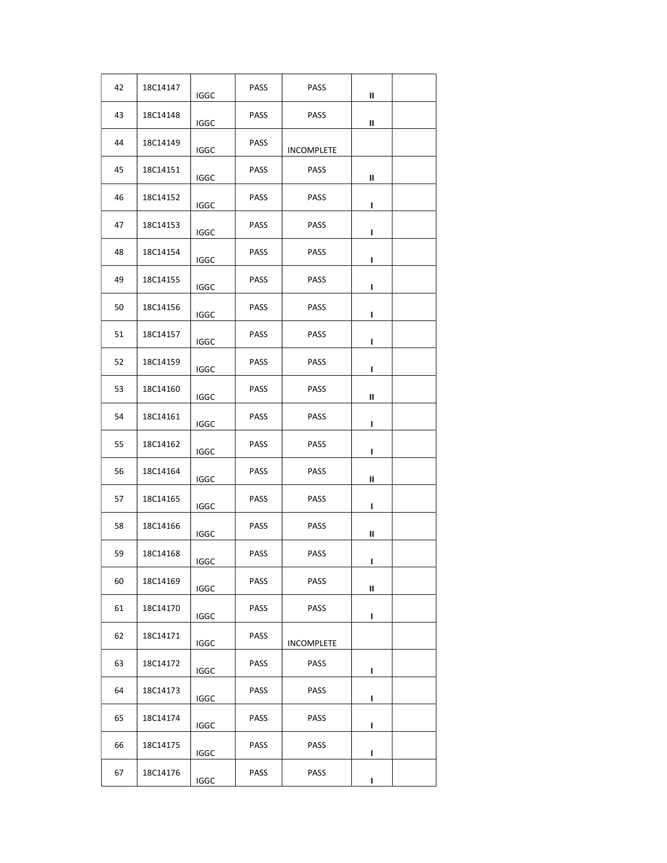| 42 | 18C14147 | <b>IGGC</b> | PASS        | <b>PASS</b>       | Ш |  |
|----|----------|-------------|-------------|-------------------|---|--|
| 43 | 18C14148 | IGGC        | <b>PASS</b> | <b>PASS</b>       | Ш |  |
| 44 | 18C14149 | <b>IGGC</b> | <b>PASS</b> | <b>INCOMPLETE</b> |   |  |
| 45 | 18C14151 | <b>IGGC</b> | <b>PASS</b> | <b>PASS</b>       | Ш |  |
| 46 | 18C14152 | IGGC        | <b>PASS</b> | <b>PASS</b>       | ı |  |
| 47 | 18C14153 | <b>IGGC</b> | PASS        | PASS              | I |  |
| 48 | 18C14154 | <b>IGGC</b> | PASS        | <b>PASS</b>       | L |  |
| 49 | 18C14155 | <b>IGGC</b> | <b>PASS</b> | <b>PASS</b>       | L |  |
| 50 | 18C14156 | <b>IGGC</b> | <b>PASS</b> | <b>PASS</b>       | L |  |
| 51 | 18C14157 | IGGC        | <b>PASS</b> | <b>PASS</b>       | ı |  |
| 52 | 18C14159 | <b>IGGC</b> | PASS        | <b>PASS</b>       | L |  |
| 53 | 18C14160 | <b>IGGC</b> | <b>PASS</b> | <b>PASS</b>       | Ш |  |
| 54 | 18C14161 | IGGC        | PASS        | <b>PASS</b>       | L |  |
| 55 | 18C14162 | <b>IGGC</b> | PASS        | <b>PASS</b>       | L |  |
| 56 | 18C14164 | IGGC        | <b>PASS</b> | <b>PASS</b>       | Ш |  |
| 57 | 18C14165 | <b>IGGC</b> | <b>PASS</b> | <b>PASS</b>       | L |  |
| 58 | 18C14166 | <b>IGGC</b> | <b>PASS</b> | <b>PASS</b>       | Ш |  |
| 59 | 18C14168 | <b>IGGC</b> | PASS        | <b>PASS</b>       | L |  |
| 60 | 18C14169 | <b>IGGC</b> | PASS        | PASS              | Ш |  |
| 61 | 18C14170 | <b>IGGC</b> | PASS        | <b>PASS</b>       | L |  |
| 62 | 18C14171 | <b>IGGC</b> | <b>PASS</b> | <b>INCOMPLETE</b> |   |  |
| 63 | 18C14172 | <b>IGGC</b> | <b>PASS</b> | <b>PASS</b>       | п |  |
| 64 | 18C14173 | <b>IGGC</b> | PASS        | <b>PASS</b>       | L |  |
| 65 | 18C14174 | <b>IGGC</b> | PASS        | PASS              | L |  |
| 66 | 18C14175 | <b>IGGC</b> | PASS        | <b>PASS</b>       | L |  |
| 67 | 18C14176 | <b>IGGC</b> | <b>PASS</b> | <b>PASS</b>       | L |  |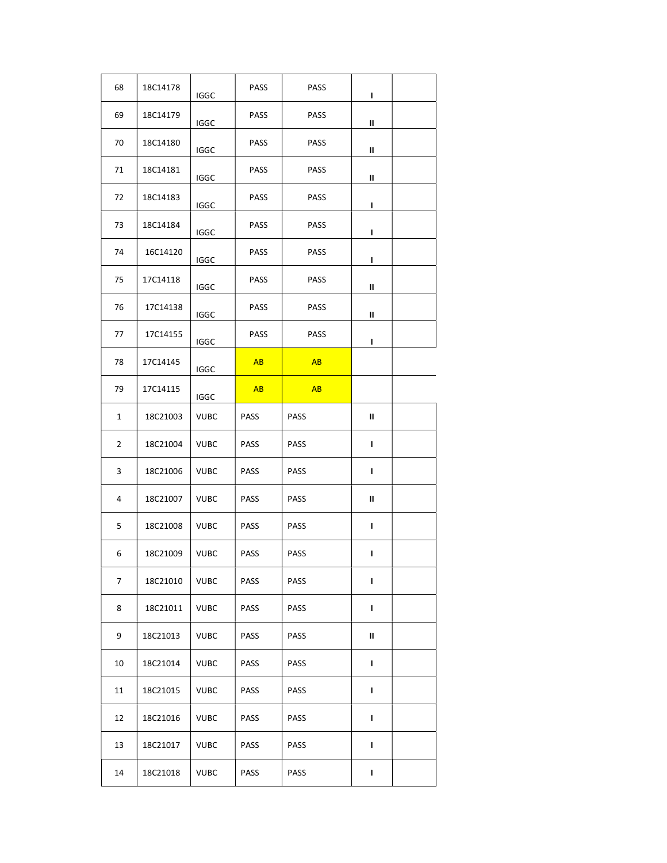| 68 | 18C14178 | <b>IGGC</b> | <b>PASS</b> | <b>PASS</b> | L |  |
|----|----------|-------------|-------------|-------------|---|--|
| 69 | 18C14179 | <b>IGGC</b> | PASS        | PASS        | Ш |  |
| 70 | 18C14180 | <b>IGGC</b> | PASS        | <b>PASS</b> | Ш |  |
| 71 | 18C14181 | <b>IGGC</b> | <b>PASS</b> | <b>PASS</b> | Ш |  |
| 72 | 18C14183 | <b>IGGC</b> | <b>PASS</b> | <b>PASS</b> | L |  |
| 73 | 18C14184 | <b>IGGC</b> | <b>PASS</b> | <b>PASS</b> | L |  |
| 74 | 16C14120 | <b>IGGC</b> | PASS        | <b>PASS</b> | L |  |
| 75 | 17C14118 | <b>IGGC</b> | PASS        | PASS        | Ш |  |
| 76 | 17C14138 | <b>IGGC</b> | <b>PASS</b> | <b>PASS</b> | Ш |  |
| 77 | 17C14155 | <b>IGGC</b> | <b>PASS</b> | <b>PASS</b> | L |  |
| 78 | 17C14145 | <b>IGGC</b> | AB          | AB          |   |  |
| 79 | 17C14115 | <b>IGGC</b> | AB          | <b>AB</b>   |   |  |
| 1  | 18C21003 | <b>VUBC</b> | PASS        | PASS        | Ш |  |
| 2  | 18C21004 | <b>VUBC</b> | <b>PASS</b> | <b>PASS</b> | L |  |
| 3  | 18C21006 | <b>VUBC</b> | <b>PASS</b> | <b>PASS</b> | L |  |
| 4  | 18C21007 | <b>VUBC</b> | <b>PASS</b> | <b>PASS</b> | Ш |  |
| 5  | 18C21008 | <b>VUBC</b> | <b>PASS</b> | <b>PASS</b> | т |  |
| 6  | 18C21009 | <b>VUBC</b> | <b>PASS</b> | <b>PASS</b> | ı |  |
| 7  | 18C21010 | <b>VUBC</b> | <b>PASS</b> | PASS        | L |  |
| 8  | 18C21011 | <b>VUBC</b> | PASS        | PASS        | L |  |
| 9  | 18C21013 | VUBC        | <b>PASS</b> | PASS        | Ш |  |
| 10 | 18C21014 | <b>VUBC</b> | <b>PASS</b> | PASS        | L |  |
| 11 | 18C21015 | VUBC        | <b>PASS</b> | PASS        | L |  |
| 12 | 18C21016 | <b>VUBC</b> | <b>PASS</b> | PASS        | L |  |
| 13 | 18C21017 | <b>VUBC</b> | <b>PASS</b> | PASS        | L |  |
| 14 | 18C21018 | <b>VUBC</b> | <b>PASS</b> | PASS        | L |  |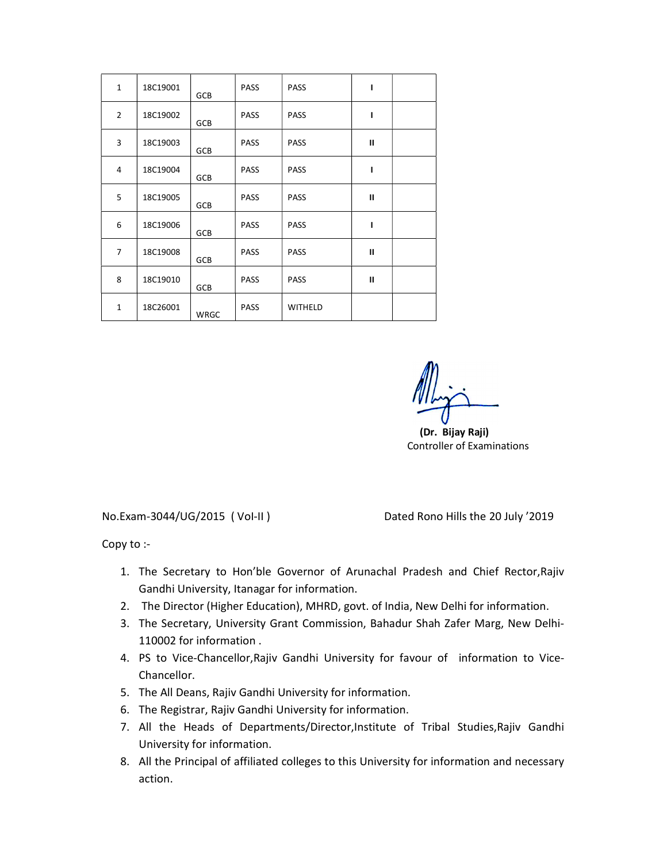| $\mathbf{1}$   | 18C19001 | GCB         | <b>PASS</b> | <b>PASS</b> | ı             |  |
|----------------|----------|-------------|-------------|-------------|---------------|--|
| $\overline{2}$ | 18C19002 | GCB         | <b>PASS</b> | <b>PASS</b> | ı             |  |
| 3              | 18C19003 | GCB         | <b>PASS</b> | <b>PASS</b> | $\mathbf{H}$  |  |
| 4              | 18C19004 | GCB         | <b>PASS</b> | <b>PASS</b> | I             |  |
| 5              | 18C19005 | GCB         | <b>PASS</b> | <b>PASS</b> | $\mathbf{H}$  |  |
| 6              | 18C19006 | GCB         | <b>PASS</b> | <b>PASS</b> | ı             |  |
| $\overline{7}$ | 18C19008 | <b>GCB</b>  | <b>PASS</b> | <b>PASS</b> | $\mathbf{II}$ |  |
| 8              | 18C19010 | GCB         | <b>PASS</b> | <b>PASS</b> | $\mathbf{H}$  |  |
| $\mathbf{1}$   | 18C26001 | <b>WRGC</b> | <b>PASS</b> | WITHELD     |               |  |

 (Dr. Bijay Raji) Controller of Examinations

No.Exam-3044/UG/2015 ( VoI-II ) Dated Rono Hills the 20 July '2019

Copy to :-

- 1. The Secretary to Hon'ble Governor of Arunachal Pradesh and Chief Rector,Rajiv Gandhi University, Itanagar for information.
- 2. The Director (Higher Education), MHRD, govt. of India, New Delhi for information.
- 3. The Secretary, University Grant Commission, Bahadur Shah Zafer Marg, New Delhi-110002 for information .
- 4. PS to Vice-Chancellor,Rajiv Gandhi University for favour of information to Vice-Chancellor.
- 5. The All Deans, Rajiv Gandhi University for information.
- 6. The Registrar, Rajiv Gandhi University for information.
- 7. All the Heads of Departments/Director,Institute of Tribal Studies,Rajiv Gandhi University for information.
- 8. All the Principal of affiliated colleges to this University for information and necessary action.